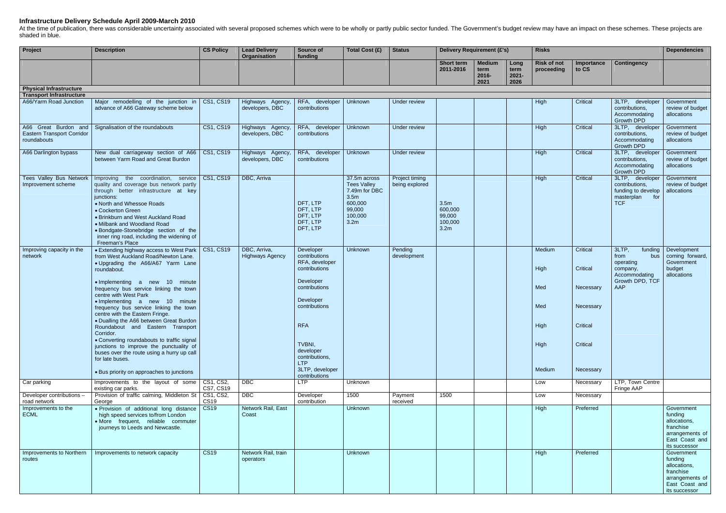## **Infrastructure Delivery Schedule April 2009-March 2010**

At the time of publication, there was considerable uncertainty associated with several proposed schemes which were to be wholly or partly public sector funded. The Government's budget review may have an impact on these sch shaded in blue.

| Project                                                           | <b>Description</b>                                                                                                                                                                                                                                                                                                                                                                                                                                                                                                                                                                                                                                                     | <b>CS Policy</b> | <b>Lead Delivery</b><br><b>Organisation</b> | Source of<br>funding                                                                                                                                                                                                        | Total Cost (£)                                                                                                              | <b>Status</b>                    | <b>Delivery Requirement (£'s)</b>                        |                                        |                                  | <b>Risks</b>                                           |                                                                                     |                                                                                                               | <b>Dependencies</b>                                                                                      |
|-------------------------------------------------------------------|------------------------------------------------------------------------------------------------------------------------------------------------------------------------------------------------------------------------------------------------------------------------------------------------------------------------------------------------------------------------------------------------------------------------------------------------------------------------------------------------------------------------------------------------------------------------------------------------------------------------------------------------------------------------|------------------|---------------------------------------------|-----------------------------------------------------------------------------------------------------------------------------------------------------------------------------------------------------------------------------|-----------------------------------------------------------------------------------------------------------------------------|----------------------------------|----------------------------------------------------------|----------------------------------------|----------------------------------|--------------------------------------------------------|-------------------------------------------------------------------------------------|---------------------------------------------------------------------------------------------------------------|----------------------------------------------------------------------------------------------------------|
|                                                                   |                                                                                                                                                                                                                                                                                                                                                                                                                                                                                                                                                                                                                                                                        |                  |                                             |                                                                                                                                                                                                                             |                                                                                                                             |                                  | Short term<br>2011-2016                                  | <b>Medium</b><br>term<br>2016-<br>2021 | Long<br>term<br>$2021 -$<br>2026 | <b>Risk of not</b><br>proceeding                       | Importance<br>to CS                                                                 | <b>Contingency</b>                                                                                            |                                                                                                          |
| <b>Physical Infrastructure</b><br><b>Transport Infrastructure</b> |                                                                                                                                                                                                                                                                                                                                                                                                                                                                                                                                                                                                                                                                        |                  |                                             |                                                                                                                                                                                                                             |                                                                                                                             |                                  |                                                          |                                        |                                  |                                                        |                                                                                     |                                                                                                               |                                                                                                          |
| A66/Yarm Road Junction                                            | Major remodelling of the junction in   CS1, CS19<br>advance of A66 Gateway scheme below                                                                                                                                                                                                                                                                                                                                                                                                                                                                                                                                                                                |                  | Highways Agency<br>developers, DBC          | RFA, developer<br>contributions                                                                                                                                                                                             | Unknown                                                                                                                     | Under review                     |                                                          |                                        |                                  | High                                                   | Critical                                                                            | 3LTP, developer<br>contributions,<br>Accommodating<br>Growth DPD                                              | Government<br>review of budget<br>allocations                                                            |
| <b>Eastern Transport Corridor</b><br>roundabouts                  | A66 Great Burdon and Signalisation of the roundabouts                                                                                                                                                                                                                                                                                                                                                                                                                                                                                                                                                                                                                  | <b>CS1, CS19</b> | Highways Agency<br>developers, DBC          | RFA, developer<br>contributions                                                                                                                                                                                             | Unknown                                                                                                                     | Under review                     |                                                          |                                        |                                  | High                                                   | Critical                                                                            | 3LTP, developer<br>contributions,<br>Accommodating<br><b>Growth DPD</b>                                       | Government<br>review of budget<br>allocations                                                            |
| A66 Darlington bypass                                             | New dual carriageway section of A66   CS1, CS19<br>between Yarm Road and Great Burdon                                                                                                                                                                                                                                                                                                                                                                                                                                                                                                                                                                                  |                  | Highways Agency<br>developers, DBC          | RFA, developer<br>contributions                                                                                                                                                                                             | Unknown                                                                                                                     | Under review                     |                                                          |                                        |                                  | High                                                   | Critical                                                                            | 3LTP, developer<br>contributions,<br>Accommodating<br>Growth DPD                                              | Government<br>review of budget<br>allocations                                                            |
| Tees Valley Bus Network<br>Improvement scheme                     | Improving the coordination, service<br>quality and coverage bus network partly<br>through better infrastructure at key<br>junctions:<br>• North and Whessoe Roads<br>• Cockerton Green<br>• Brinkburn and West Auckland Road<br>• Milbank and Woodland Road<br>• Bondgate-Stonebridge section of the<br>inner ring road, including the widening of<br>Freeman's Place                                                                                                                                                                                                                                                                                                  | CS1, CS19        | DBC, Arriva                                 | DFT, LTP<br>DFT, LTP<br>DFT, LTP<br>DFT, LTP<br>DFT, LTP                                                                                                                                                                    | 37.5m across<br><b>Tees Valley</b><br>7.49m for DBC<br>3.5 <sub>m</sub><br>600,000<br>99,000<br>100,000<br>3.2 <sub>m</sub> | Project timing<br>being explored | 3.5m<br>600,000<br>99,000<br>100,000<br>3.2 <sub>m</sub> |                                        |                                  | High                                                   | Critical                                                                            | 3LTP, developer<br>contributions,<br>funding to develop<br>masterplan<br>for<br><b>TCF</b>                    | Government<br>review of budget<br>allocations                                                            |
| Improving capacity in the<br>network                              | • Extending highway access to West Park   CS1, CS19<br>from West Auckland Road/Newton Lane.<br>. Upgrading the A66/A67 Yarm Lane<br>roundabout.<br>• Implementing a new 10 minute<br>frequency bus service linking the town<br>centre with West Park<br>• Implementing a new 10 minute<br>frequency bus service linking the town<br>centre with the Eastern Fringe.<br>• Dualling the A66 between Great Burdon<br>Roundabout and Eastern Transport<br>Corridor.<br>• Converting roundabouts to traffic signal<br>junctions to improve the punctuality of<br>buses over the route using a hurry up call<br>for late buses.<br>• Bus priority on approaches to junctions |                  | DBC, Arriva,<br><b>Highways Agency</b>      | Developer<br>contributions<br>RFA, developer<br>contributions<br>Developer<br>contributions<br>Developer<br>contributions<br><b>RFA</b><br>TVBNI,<br>developer<br>contributions,<br>LTP<br>3LTP, developer<br>contributions | Unknown                                                                                                                     | Pending<br>development           |                                                          |                                        |                                  | Medium<br>High<br>Med<br>Med<br>High<br>High<br>Medium | Critical<br>Critical<br>Necessary<br>Necessary<br>Critical<br>Critical<br>Necessary | $3$ LTP,<br>funding<br>from<br>bus<br>operating<br>company,<br>Accommodating<br>Growth DPD, TCF<br><b>AAP</b> | Development<br>coming forward,<br>Government<br>budget<br>allocations                                    |
| Car parking                                                       | Improvements to the layout of some   CS1, CS2,<br>existing car parks.                                                                                                                                                                                                                                                                                                                                                                                                                                                                                                                                                                                                  | CS7, CS19        | <b>DBC</b>                                  | LTP                                                                                                                                                                                                                         | Unknown                                                                                                                     |                                  |                                                          |                                        |                                  | Low                                                    | Necessary                                                                           | LTP, Town Centre<br>Fringe AAP                                                                                |                                                                                                          |
| Developer contributions -<br>road network                         | Provision of traffic calming, Middleton St   CS1, CS2,<br>George                                                                                                                                                                                                                                                                                                                                                                                                                                                                                                                                                                                                       | <b>CS19</b>      | $\overline{DBC}$                            | Developer<br>contribution                                                                                                                                                                                                   | 1500                                                                                                                        | Payment<br>received              | 1500                                                     |                                        |                                  | Low                                                    | Necessary                                                                           |                                                                                                               |                                                                                                          |
| Improvements to the<br><b>ECML</b>                                | · Provision of additional long distance<br>high speed services to/from London<br>· More frequent, reliable commuter<br>journeys to Leeds and Newcastle.                                                                                                                                                                                                                                                                                                                                                                                                                                                                                                                | <b>CS19</b>      | Network Rail, East<br>Coast                 |                                                                                                                                                                                                                             | Unknown                                                                                                                     |                                  |                                                          |                                        |                                  | High                                                   | Preferred                                                                           |                                                                                                               | Government<br>funding<br>allocations,<br>franchise<br>arrangements of<br>East Coast and<br>its successor |
| Improvements to Northern<br>routes                                | Improvements to network capacity                                                                                                                                                                                                                                                                                                                                                                                                                                                                                                                                                                                                                                       | <b>CS19</b>      | Network Rail, train<br>operators            |                                                                                                                                                                                                                             | Unknown                                                                                                                     |                                  |                                                          |                                        |                                  | High                                                   | Preferred                                                                           |                                                                                                               | Government<br>funding<br>allocations,<br>franchise<br>arrangements of<br>East Coast and<br>its successor |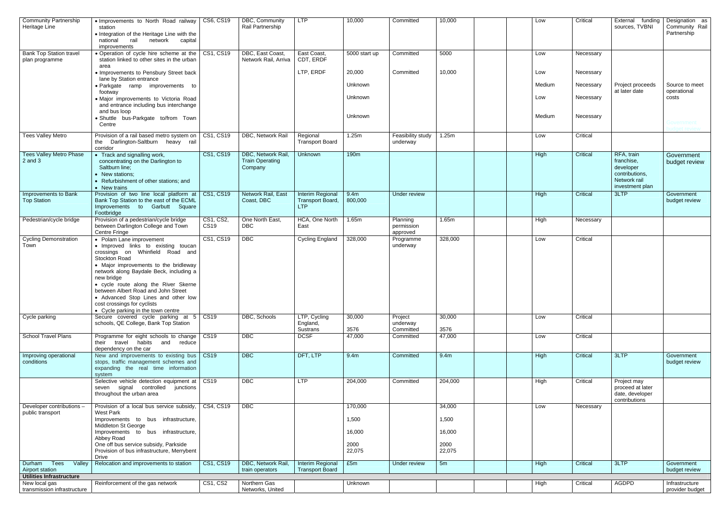| <b>Community Partnership</b><br>Heritage Line    | • Improvements to North Road railway   CS6, CS19<br>station<br>• Integration of the Heritage Line with the<br>national<br>rail<br>network<br>capital                                                                                                                                                                                                                                                             |                          | DBC, Community<br>Rail Partnership                      | <b>LTP</b>                                                | 10,000                   | Committed                          | 10,000                   | Low    | Critical  | External funding<br>sources, TVBNI                                                         | Designation as<br>Community Rail<br>Partnership |
|--------------------------------------------------|------------------------------------------------------------------------------------------------------------------------------------------------------------------------------------------------------------------------------------------------------------------------------------------------------------------------------------------------------------------------------------------------------------------|--------------------------|---------------------------------------------------------|-----------------------------------------------------------|--------------------------|------------------------------------|--------------------------|--------|-----------|--------------------------------------------------------------------------------------------|-------------------------------------------------|
| <b>Bank Top Station travel</b><br>plan programme | improvements<br>• Operation of cycle hire scheme at the   CS1, CS19<br>station linked to other sites in the urban                                                                                                                                                                                                                                                                                                |                          | DBC, East Coast,<br>Network Rail, Arriva                | East Coast,<br>CDT, ERDF                                  | 5000 start up            | Committed                          | 5000                     | Low    | Necessary |                                                                                            |                                                 |
|                                                  | area<br>• Improvements to Pensbury Street back                                                                                                                                                                                                                                                                                                                                                                   |                          |                                                         | LTP, ERDF                                                 | 20,000                   | Committed                          | 10,000                   | Low    | Necessary |                                                                                            |                                                 |
|                                                  | lane by Station entrance<br>· Parkgate ramp improvements to                                                                                                                                                                                                                                                                                                                                                      |                          |                                                         |                                                           | Unknown                  |                                    |                          | Medium | Necessary | Project proceeds                                                                           | Source to meet                                  |
|                                                  | footway<br>· Major improvements to Victoria Road<br>and entrance including bus interchange                                                                                                                                                                                                                                                                                                                       |                          |                                                         |                                                           | Unknown                  |                                    |                          | Low    | Necessary | at later date                                                                              | operational<br>costs                            |
|                                                  | and bus loop<br>· Shuttle bus-Parkgate to/from Town<br>Centre                                                                                                                                                                                                                                                                                                                                                    |                          |                                                         |                                                           | Unknown                  |                                    |                          | Medium | Necessary |                                                                                            | ∃overnment                                      |
| <b>Tees Valley Metro</b>                         | Provision of a rail based metro system on   CS1, CS19<br>the Darlington-Saltburn heavy rail<br>corridor                                                                                                                                                                                                                                                                                                          |                          | DBC, Network Rail                                       | Regional<br><b>Transport Board</b>                        | 1.25m                    | Feasibility study<br>underway      | 1.25m                    | Low    | Critical  |                                                                                            |                                                 |
| <b>Tees Valley Metro Phase</b><br>$2$ and $3$    | • Track and signalling work,<br>concentrating on the Darlington to<br>Saltburn line;<br>• New stations;<br>• Refurbishment of other stations; and<br>• New trains                                                                                                                                                                                                                                                | <b>CS1, CS19</b>         | DBC, Network Rail,<br><b>Train Operating</b><br>Company | <b>Unknown</b>                                            | 190 <sub>m</sub>         |                                    |                          | High   | Critical  | RFA, train<br>franchise,<br>developer<br>contributions,<br>Network rail<br>investment plan | Government<br>budget review                     |
| Improvements to Bank<br><b>Top Station</b>       | Provision of two line local platform at   CS1, CS19<br>Bank Top Station to the east of the ECML<br>Improvements to Garbutt Square<br>Footbridge                                                                                                                                                                                                                                                                  |                          | Network Rail, East<br>Coast, DBC                        | <b>Interim Regional</b><br>Transport Board,<br><b>LTP</b> | 9.4m<br>800,000          | Under review                       |                          | High   | Critical  | 3LTP                                                                                       | Government<br>budget review                     |
| Pedestrian/cycle bridge                          | Provision of a pedestrian/cycle bridge<br>between Darlington College and Town<br>Centre Fringe                                                                                                                                                                                                                                                                                                                   | CS1, CS2,<br><b>CS19</b> | One North East,<br><b>DBC</b>                           | HCA, One North<br>East                                    | 1.65m                    | Planning<br>permission<br>approved | 1.65m                    | High   | Necessary |                                                                                            |                                                 |
| <b>Cycling Demonstration</b><br>Town             | • Polam Lane improvement<br>· Improved links to existing toucan<br>crossings on Whinfield Road and<br>Stockton Road<br>• Major improvements to the bridleway<br>network along Baydale Beck, including a<br>new bridge<br>• cycle route along the River Skerne<br>between Albert Road and John Street<br>• Advanced Stop Lines and other low<br>cost crossings for cyclists<br>• Cycle parking in the town centre | CS1, CS19                | $\overline{DBC}$                                        | <b>Cycling England</b>                                    | 328,000                  | Programme<br>underway              | 328,000                  | Low    | Critical  |                                                                                            |                                                 |
| Cycle parking                                    | Secure covered cycle parking at 5 CS19<br>schools, QE College, Bank Top Station                                                                                                                                                                                                                                                                                                                                  |                          | DBC, Schools                                            | LTP, Cycling<br>England,                                  | 30,000                   | Project<br>underway                | 30,000                   | Low    | Critical  |                                                                                            |                                                 |
| <b>School Travel Plans</b>                       | Programme for eight schools to change<br>their travel habits and reduce<br>dependency on the car                                                                                                                                                                                                                                                                                                                 | <b>CS19</b>              | $\overline{DBC}$                                        | Sustrans<br><b>DCSF</b>                                   | 3576<br>47,000           | Committed<br>Committed             | 3576<br>47,000           | Low    | Critical  |                                                                                            |                                                 |
| Improving operational<br>conditions              | New and improvements to existing bus   CS19<br>stops, traffic management schemes and<br>expanding the real time information<br>system                                                                                                                                                                                                                                                                            |                          | $\overline{DBC}$                                        | DFT, LTP                                                  | 9.4m                     | Committed                          | 9.4m                     | High   | Critical  | 3LTP                                                                                       | Government<br>budget review                     |
|                                                  | Selective vehicle detection equipment at   CS19<br>seven signal controlled junctions<br>throughout the urban area                                                                                                                                                                                                                                                                                                |                          | $\overline{DBC}$                                        | LTP                                                       | 204,000                  | Committed                          | 204,000                  | High   | Critical  | Project may<br>proceed at later<br>date, developer<br>contributions                        |                                                 |
| Developer contributions -<br>public transport    | Provision of a local bus service subsidy,<br><b>West Park</b>                                                                                                                                                                                                                                                                                                                                                    | CS4,CS19                 | $\overline{DBC}$                                        |                                                           | 170,000                  |                                    | 34,000                   | Low    | Necessary |                                                                                            |                                                 |
|                                                  | Improvements to bus infrastructure,<br>Middleton St George                                                                                                                                                                                                                                                                                                                                                       |                          |                                                         |                                                           | 1,500                    |                                    | 1,500                    |        |           |                                                                                            |                                                 |
|                                                  | Improvements to bus infrastructure,<br>Abbey Road<br>One off bus service subsidy, Parkside<br>Provision of bus infrastructure, Merrybent                                                                                                                                                                                                                                                                         |                          |                                                         |                                                           | 16,000<br>2000<br>22,075 |                                    | 16,000<br>2000<br>22,075 |        |           |                                                                                            |                                                 |
| Durham Tees<br>Valley<br>Airport station         | Drive<br>Relocation and improvements to station                                                                                                                                                                                                                                                                                                                                                                  | CS1, CS19                | DBC, Network Rail,<br>train operators                   | Interim Regional<br><b>Transport Board</b>                | £5m                      | Under review                       | 5m                       | High   | Critical  | 3LTP                                                                                       | Government<br>budget review                     |
| <b>Utilities Infrastructure</b><br>New local gas | Reinforcement of the gas network                                                                                                                                                                                                                                                                                                                                                                                 | <b>CS1, CS2</b>          | Northern Gas                                            |                                                           | Unknown                  |                                    |                          | High   | Critical  | <b>AGDPD</b>                                                                               | Infrastructure                                  |
| transmission infrastructure                      |                                                                                                                                                                                                                                                                                                                                                                                                                  |                          | Networks, United                                        |                                                           |                          |                                    |                          |        |           |                                                                                            | provider budget                                 |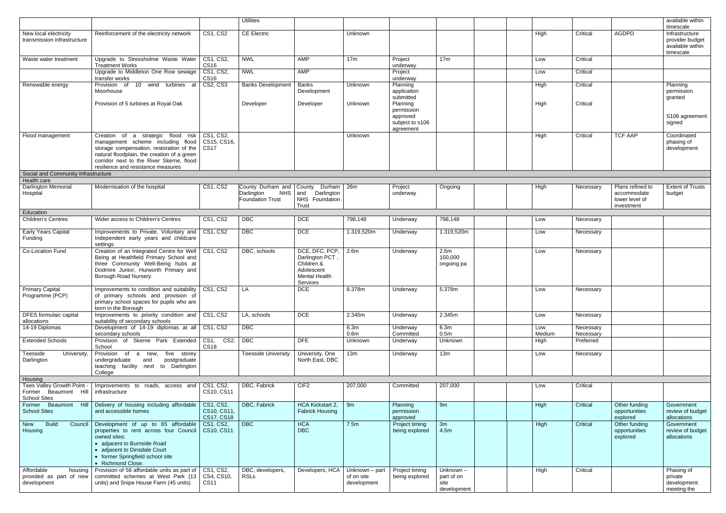|                                                            |                                                                                                                                                                                                                                                      |                                               | <b>Utilities</b>                                                               |                                                                                                   |                                                          |                                                                    |                                                  |               |                        |                                                                 | available within<br>timescale                       |
|------------------------------------------------------------|------------------------------------------------------------------------------------------------------------------------------------------------------------------------------------------------------------------------------------------------------|-----------------------------------------------|--------------------------------------------------------------------------------|---------------------------------------------------------------------------------------------------|----------------------------------------------------------|--------------------------------------------------------------------|--------------------------------------------------|---------------|------------------------|-----------------------------------------------------------------|-----------------------------------------------------|
| New local electricity                                      | Reinforcement of the electricity network                                                                                                                                                                                                             | <b>CS1, CS2</b>                               | <b>CE Electric</b>                                                             |                                                                                                   | Unknown                                                  |                                                                    |                                                  | High          | Critical               | AGDPD                                                           | Infrastructure                                      |
| transmission infrastructure                                |                                                                                                                                                                                                                                                      |                                               |                                                                                |                                                                                                   |                                                          |                                                                    |                                                  |               |                        |                                                                 | provider budget<br>available within<br>timescale    |
| Waste water treatment                                      | Upgrade to Stressholme Waste Water<br><b>Treatment Works</b>                                                                                                                                                                                         | CS1, CS2,<br><b>CS16</b>                      | <b>NWL</b>                                                                     | AMP                                                                                               | 17m                                                      | Project<br>underway                                                | 17m                                              | Low           | Critical               |                                                                 |                                                     |
|                                                            | Upgrade to Middleton One Row sewage<br>transfer works                                                                                                                                                                                                | CS1, CS2,<br><b>CS16</b>                      | <b>NWL</b>                                                                     | AMP                                                                                               |                                                          | Project<br>underway                                                |                                                  | Low           | Critical               |                                                                 |                                                     |
| Renewable energy                                           | Provision of 10 wind turbines at<br>Moorhouse                                                                                                                                                                                                        | <b>CS2, CS3</b>                               | <b>Banks Development</b>                                                       | Banks<br>Development                                                                              | Unknown                                                  | Planning<br>application<br>submitted                               |                                                  | High          | Critical               |                                                                 | Planning<br>permission<br>granted                   |
|                                                            | Provision of 5 turbines at Royal Oak                                                                                                                                                                                                                 |                                               | Developer                                                                      | Developer                                                                                         | Unknown                                                  | Planning<br>permission<br>approved<br>subject to s106<br>agreement |                                                  | High          | Critical               |                                                                 | S106 agreement<br>signed                            |
| Flood management                                           | Creation of a strategic flood risk<br>management scheme including flood<br>storage compensation, restoration of the<br>natural floodplain, the creation of a green<br>corridor next to the River Skerne, flood<br>resilience and resistance measures | CS1, CS2,<br>CS15, CS16,<br>$\vert$ CS17      |                                                                                |                                                                                                   | Unknown                                                  |                                                                    |                                                  | High          | Critical               | <b>TCF AAP</b>                                                  | Coordinated<br>phasing of<br>development            |
| Social and Community Infrastructure                        |                                                                                                                                                                                                                                                      |                                               |                                                                                |                                                                                                   |                                                          |                                                                    |                                                  |               |                        |                                                                 |                                                     |
| Health care                                                |                                                                                                                                                                                                                                                      |                                               |                                                                                |                                                                                                   |                                                          |                                                                    |                                                  |               |                        |                                                                 |                                                     |
| <b>Darlington Memorial</b><br>Hospital                     | Modernisation of the hospital                                                                                                                                                                                                                        | <b>CS1, CS2</b>                               | County Durham and County Durham   26m<br>Darlington<br><b>Foundation Trust</b> | NHS and<br>Darlington<br>NHS Foundation<br>Trust                                                  |                                                          | Project<br>underway                                                | Ongoing                                          | High          | Necessary              | Plans refined to<br>accommodate<br>lower level of<br>investment | <b>Extent of Trusts</b><br>budget                   |
| Education                                                  |                                                                                                                                                                                                                                                      |                                               |                                                                                |                                                                                                   |                                                          |                                                                    |                                                  |               |                        |                                                                 |                                                     |
| <b>Children's Centres</b>                                  | Wider access to Children's Centres                                                                                                                                                                                                                   | <b>CS1, CS2</b>                               | $\overline{DBC}$                                                               | <b>DCE</b>                                                                                        | 798,148                                                  | Underway                                                           | 798,148                                          | Low           | Necessary              |                                                                 |                                                     |
| Early Years Capital<br>Funding                             | Improvements to Private, Voluntary and<br>Independent early years and childcare<br>settings                                                                                                                                                          | <b>CS1, CS2</b>                               | $\overline{DBC}$                                                               | <b>DCE</b>                                                                                        | 1.319,520m                                               | Underway                                                           | 1.319,520m                                       | Low           | Necessary              |                                                                 |                                                     |
| Co-Location Fund                                           | Creation of an Integrated Centre for Well   CS1, CS2<br>Being at Heathfield Primary School and<br>three Community Well-Being hubs at<br>Dodmire Junior, Hurworth Primary and<br>Borough Road Nursery.                                                |                                               | DBC, schools                                                                   | DCE, DFC, PCP,<br>Darlington PCT,<br>Children &<br>Adolescent<br><b>Mental Health</b><br>Services | 2.6 <sub>m</sub>                                         | Underway                                                           | 2.6 <sub>m</sub><br>150,000<br>ongoing pa        | Low           | Necessary              |                                                                 |                                                     |
| <b>Primary Capital</b><br>Programme (PCP)                  | Improvements to condition and suitability   CS1, CS2<br>of primary schools and provision of<br>primary school spaces for pupils who are<br>born in the Borough                                                                                       |                                               | LA                                                                             | <b>DCE</b>                                                                                        | 8.378m                                                   | Underway                                                           | 5.378m                                           | Low           | Necessary              |                                                                 |                                                     |
| <b>DFES</b> formulaic capital<br>allocations               | Improvements to priority condition and CS1, CS2<br>suitability of secondary schools                                                                                                                                                                  |                                               | LA, schools                                                                    | DCE                                                                                               | 2.345m                                                   | Underway                                                           | 2.345m                                           | Low           | Necessary              |                                                                 |                                                     |
| 14-19 Diplomas                                             | Development of 14-19 diplomas at all CS1, CS2<br>secondary schools                                                                                                                                                                                   |                                               | $\overline{DBC}$                                                               |                                                                                                   | 6.3m<br>0.6 <sub>m</sub>                                 | Underway<br>Committed                                              | 6.3m<br>0.5 <sub>m</sub>                         | Low<br>Medium | Necessary<br>Necessary |                                                                 |                                                     |
| <b>Extended Schools</b>                                    | Provision of Skerne Park Extended CS1, CS2, DBC<br>School                                                                                                                                                                                            | <b>CS18</b>                                   |                                                                                | <b>DFE</b>                                                                                        | Unknown                                                  | Underway                                                           | Unknown                                          | High          | Preferred              |                                                                 |                                                     |
| Teesside<br>University,<br>Darlington                      | Provision of a new, five storey<br>postgraduate<br>undergraduate<br>and<br>teaching facility next to Darlington<br>College                                                                                                                           |                                               | <b>Teesside University</b>                                                     | University, One<br>North East, DBC                                                                | 13m                                                      | Underway                                                           | 13m                                              | Low           | Necessary              |                                                                 |                                                     |
| Housing                                                    |                                                                                                                                                                                                                                                      |                                               |                                                                                |                                                                                                   |                                                          |                                                                    |                                                  |               |                        |                                                                 |                                                     |
| Former Beaumont Hill infrastructure<br><b>School Sites</b> | Tees Valley Growth Point -   Improvements to roads, access and                                                                                                                                                                                       | CS1, CS2,<br>CS10, CS11                       | DBC, Fabrick                                                                   | CIF <sub>2</sub>                                                                                  | 207,000                                                  | Committed                                                          | 207,000                                          | Low           | Critical               |                                                                 |                                                     |
| <b>School Sites</b>                                        | Former Beaumont Hill   Delivery of housing including affordable<br>and accessible homes                                                                                                                                                              | CS1, CS2,<br>CS10, CS11,<br><b>CS17, CS18</b> | DBC, Fabrick                                                                   | HCA Kickstart 2,<br><b>Fabrick Housing</b>                                                        | 9m                                                       | Planning<br>permission<br>approved                                 | 9m                                               | High          | Critical               | Other funding<br>opportunities<br>explored                      | Government<br>review of budget<br>allocations       |
| New Build<br>Council<br>Housing                            | Development of up to 65 affordable<br>properties to rent across four Council<br>owned sites:<br>• adjacent to Burnside Road<br>• adjacent to Dinsdale Court<br>• former Springfield school site<br>• Richmond Close.                                 | CS1, CS2,<br>CS10, CS11                       | $\overline{DBC}$                                                               | <b>HCA</b><br><b>DBC</b>                                                                          | 7.5m                                                     | Project timing<br>being explored                                   | 3m<br>4.5m                                       | High          | Critical               | Other funding<br>opportunities<br>explored                      | Government<br>review of budget<br>allocations       |
| Affordable<br>provided as part of new<br>development       | housing   Provision of 58 affordable units as part of<br>committed schemes at West Park (13   CS4, CS10,<br>units) and Snipe House Farm (45 units)                                                                                                   | CS1, CS2,<br><b>CS11</b>                      | DBC, developers,<br><b>RSLs</b>                                                | Developers, HCA                                                                                   | $\overline{Unknown - part}$<br>of on site<br>development | Project timing<br>being explored                                   | $Unknown -$<br>part of on<br>site<br>development | High          | Critical               |                                                                 | Phasing of<br>private<br>development<br>meeting the |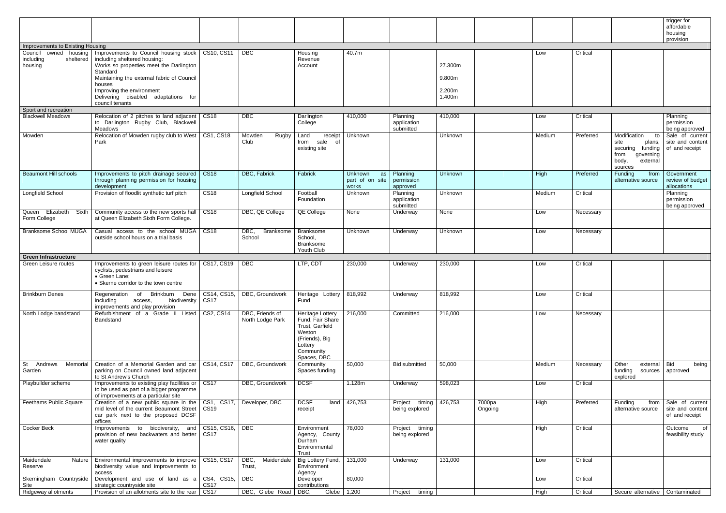|                                                 |                                                                                                                                            |                                      |                                     |                                                                                                                            |                                           |                                      |                   |                   |        |           |                                                                                                                  | trigger for<br>affordable<br>housing<br>provision      |
|-------------------------------------------------|--------------------------------------------------------------------------------------------------------------------------------------------|--------------------------------------|-------------------------------------|----------------------------------------------------------------------------------------------------------------------------|-------------------------------------------|--------------------------------------|-------------------|-------------------|--------|-----------|------------------------------------------------------------------------------------------------------------------|--------------------------------------------------------|
| Improvements to Existing Housing                |                                                                                                                                            |                                      |                                     |                                                                                                                            |                                           |                                      |                   |                   |        |           |                                                                                                                  |                                                        |
| Council owned housing<br>including<br>sheltered | Improvements to Council housing stock   CS10, CS11<br>including sheltered housing:                                                         |                                      | <b>DBC</b>                          | Housing<br>Revenue                                                                                                         | 40.7m                                     |                                      |                   |                   | Low    | Critical  |                                                                                                                  |                                                        |
| housing                                         | Works so properties meet the Darlington<br>Standard<br>Maintaining the external fabric of Council                                          |                                      |                                     | Account                                                                                                                    |                                           |                                      | 27.300m<br>9.800m |                   |        |           |                                                                                                                  |                                                        |
|                                                 | houses<br>Improving the environment                                                                                                        |                                      |                                     |                                                                                                                            |                                           |                                      | 2.200m            |                   |        |           |                                                                                                                  |                                                        |
| Sport and recreation                            | Delivering disabled adaptations for<br>council tenants                                                                                     |                                      |                                     |                                                                                                                            |                                           |                                      | 1.400m            |                   |        |           |                                                                                                                  |                                                        |
| <b>Blackwell Meadows</b>                        | Relocation of 2 pitches to land adjacent<br>to Darlington Rugby Club, Blackwell<br>Meadows                                                 | <b>CS18</b>                          | $\overline{DBC}$                    | Darlington<br>College                                                                                                      | 410,000                                   | Planning<br>application<br>submitted | 410,000           |                   | Low    | Critical  |                                                                                                                  | Planning<br>permission<br>being approved               |
| Mowden                                          | Relocation of Mowden rugby club to West   CS1, CS18<br>Park                                                                                |                                      | Mowden<br>Rugby<br>Club             | Land<br>receipt<br>sale of<br>from<br>existing site                                                                        | Unknown                                   |                                      | Unknown           |                   | Medium | Preferred | Modification<br>to<br>site<br>plans,<br>funding<br>securing<br>from<br>governing<br>body,<br>external<br>sources | Sale of current<br>site and content<br>of land receipt |
| <b>Beaumont Hill schools</b>                    | Improvements to pitch drainage secured<br>through planning permission for housing<br>development                                           | $\vert$ CS18                         | DBC, Fabrick                        | Fabrick                                                                                                                    | Unknown<br>as<br>part of on site<br>works | Planning<br>permission<br>approved   | Unknown           |                   | High   | Preferred | Funding<br>from<br>alternative source                                                                            | Government<br>review of budget<br>allocations          |
| Longfield School                                | Provision of floodlit synthetic turf pitch                                                                                                 | CS18                                 | Longfield School                    | Football<br>Foundation                                                                                                     | Unknown                                   | Planning<br>application<br>submitted | Unknown           |                   | Medium | Critical  |                                                                                                                  | Planning<br>permission<br>being approved               |
| Queen Elizabeth<br>Form College                 | Sixth   Community access to the new sports hall   CS18<br>at Queen Elizabeth Sixth Form College.                                           |                                      | DBC, QE College                     | QE College                                                                                                                 | None                                      | Underway                             | None              |                   | Low    | Necessary |                                                                                                                  |                                                        |
| Branksome School MUGA                           | Casual access to the school MUGA<br>outside school hours on a trial basis                                                                  | <b>CS18</b>                          | DBC,<br>Branksome<br>School         | Branksome<br>School,<br><b>Branksome</b><br>Youth Club                                                                     | Unknown                                   | Underway                             | Unknown           |                   | Low    | Necessary |                                                                                                                  |                                                        |
| <b>Green Infrastructure</b>                     |                                                                                                                                            |                                      |                                     |                                                                                                                            |                                           |                                      |                   |                   |        |           |                                                                                                                  |                                                        |
| Green Leisure routes                            | Improvements to green leisure routes for<br>cyclists, pedestrians and leisure<br>• Green Lane;<br>• Skerne corridor to the town centre     | CS17, CS19                           | <b>DBC</b>                          | LTP, CDT                                                                                                                   | 230,000                                   | Underway                             | 230,000           |                   | Low    | Critical  |                                                                                                                  |                                                        |
| <b>Brinkburn Denes</b>                          | Brinkburn<br>Dene<br>Regeneration<br>of<br>including<br>biodiversity<br>access,<br>improvements and play provision                         | CS14, CS15,<br><b>CS17</b>           | DBC, Groundwork                     | Heritage Lottery<br>Fund                                                                                                   | 818,992                                   | Underway                             | 818,992           |                   | Low    | Critical  |                                                                                                                  |                                                        |
| North Lodge bandstand                           | Refurbishment of a Grade II<br>Listed<br>Bandstand                                                                                         | CS2, CS14                            | DBC, Friends of<br>North Lodge Park | Heritage Lottery<br>Fund, Fair Share<br>Trust, Garfield<br>Weston<br>(Friends), Big<br>Lottery<br>Community<br>Spaces, DBC | 216,000                                   | Committed                            | 216,000           |                   | Low    | Necessary |                                                                                                                  |                                                        |
| <b>St</b><br>Andrews<br>Memorial<br>Garden      | Creation of a Memorial Garden and car<br>parking on Council owned land adjacent<br>to St Andrew's Church                                   | CS14, CS17                           | DBC, Groundwork                     | Community<br>Spaces funding                                                                                                | 50,000                                    | <b>Bid submitted</b>                 | 50,000            |                   | Medium | Necessary | Other<br>external Bid<br>funding<br>sources<br>explored                                                          | being<br>approved                                      |
| Playbuilder scheme                              | Improvements to existing play facilities or<br>to be used as part of a bigger programme<br>of improvements at a particular site            | CS17                                 | DBC, Groundwork                     | <b>DCSF</b>                                                                                                                | 1.128m                                    | Underway                             | 598,023           |                   | Low    | Critical  |                                                                                                                  |                                                        |
| Feethams Public Square                          | Creation of a new public square in the<br>mid level of the current Beaumont Street   CS19<br>car park next to the proposed DCSF<br>offices | $\vert$ CS1, CS17,                   | Developer, DBC                      | <b>DCSF</b><br>land<br>receipt                                                                                             | 426,753                                   | timing<br>Project<br>being explored  | 426,753           | 7000pa<br>Ongoing | High   | Preferred | Funding<br>from<br>alternative source                                                                            | Sale of current<br>site and content<br>of land receipt |
| <b>Cocker Beck</b>                              | Improvements to biodiversity,<br>provision of new backwaters and better<br>water quality                                                   | and   CS15, CS16, DBC<br><b>CS17</b> |                                     | Environment<br>Agency, County<br>Durham<br>Environmental<br>Trust                                                          | 78,000                                    | Project timing<br>being explored     |                   |                   | High   | Critical  |                                                                                                                  | $\overline{\text{of}}$<br>Outcome<br>feasibility study |
| Maidendale<br>Nature<br>Reserve                 | Environmental improvements to improve<br>biodiversity value and improvements to<br>access                                                  | CS15, CS17                           | DBC,<br>Maidendale<br>Trust,        | Big Lottery Fund,<br>Environment<br>Agency                                                                                 | 131,000                                   | Underway                             | 131,000           |                   | Low    | Critical  |                                                                                                                  |                                                        |
| Skerningham Countryside<br>Site                 | Development and use of land as a CS4, CS15,<br>strategic countryside site                                                                  | <b>CS17</b>                          | $\overline{\phantom{a}}$ DBC        | Developer<br>contributions                                                                                                 | 80,000                                    |                                      |                   |                   | Low    | Critical  |                                                                                                                  |                                                        |
| Ridgeway allotments                             | Provision of an allotments site to the rear   CS17                                                                                         |                                      | DBC, Glebe Road DBC,                |                                                                                                                            | Glebe 1,200                               | Project<br>timing                    |                   |                   | High   | Critical  | Secure alternative   Contaminated                                                                                |                                                        |